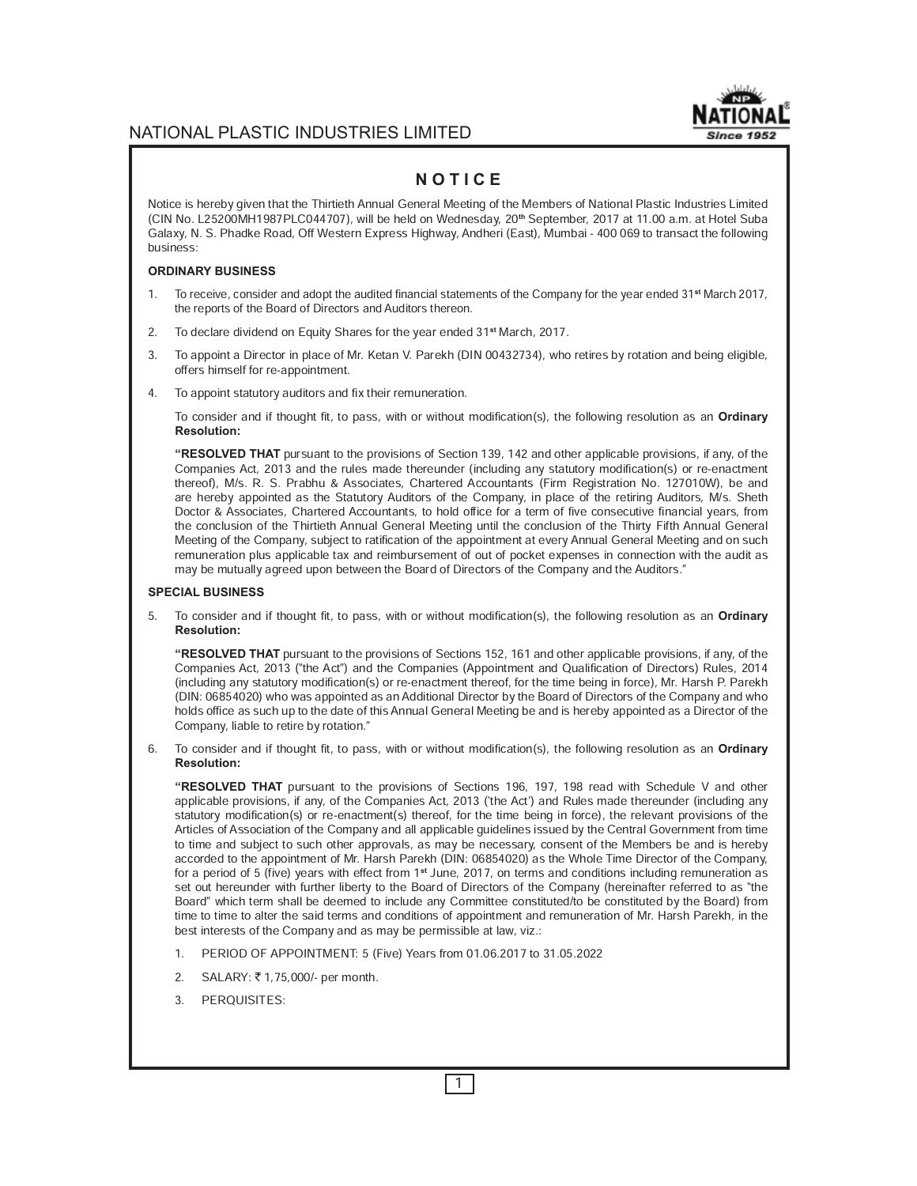## **Since 1952**

## NATIONAL PLASTIC INDUSTRIES LIMITED

## **N O T I C E**

Notice is hereby given that the Thirtieth Annual General Meeting of the Members of National Plastic Industries Limited (CIN No. L25200MH1987PLC044707), will be held on Wednesday, 20**th** September, 2017 at 11.00 a.m. at Hotel Suba Galaxy, N. S. Phadke Road, Off Western Express Highway, Andheri (East), Mumbai - 400 069 to transact the following business:

#### **ORDINARY BUSINESS**

- 1. To receive, consider and adopt the audited financial statements of the Company for the year ended 31**st** March 2017, the reports of the Board of Directors and Auditors thereon.
- 2. To declare dividend on Equity Shares for the year ended 31**st** March, 2017.
- 3. To appoint a Director in place of Mr. Ketan V. Parekh (DIN 00432734), who retires by rotation and being eligible, offers himself for re-appointment.
- 4. To appoint statutory auditors and fix their remuneration.

To consider and if thought fit, to pass, with or without modification(s), the following resolution as an **Ordinary Resolution:**

**"RESOLVED THAT** pursuant to the provisions of Section 139, 142 and other applicable provisions, if any, of the Companies Act, 2013 and the rules made thereunder (including any statutory modification(s) or re-enactment thereof), M/s. R. S. Prabhu & Associates, Chartered Accountants (Firm Registration No. 127010W), be and are hereby appointed as the Statutory Auditors of the Company, in place of the retiring Auditors, M/s. Sheth Doctor & Associates, Chartered Accountants, to hold office for a term of five consecutive financial years, from the conclusion of the Thirtieth Annual General Meeting until the conclusion of the Thirty Fifth Annual General Meeting of the Company, subject to ratification of the appointment at every Annual General Meeting and on such remuneration plus applicable tax and reimbursement of out of pocket expenses in connection with the audit as may be mutually agreed upon between the Board of Directors of the Company and the Auditors."

#### **SPECIAL BUSINESS**

5. To consider and if thought fit, to pass, with or without modification(s), the following resolution as an **Ordinary Resolution:**

**"RESOLVED THAT** pursuant to the provisions of Sections 152, 161 and other applicable provisions, if any, of the Companies Act, 2013 (ªthe Actº) and the Companies (Appointment and Qualification of Directors) Rules, 2014 (including any statutory modification(s) or re-enactment thereof, for the time being in force), Mr. Harsh P. Parekh (DIN: 06854020) who was appointed as an Additional Director by the Board of Directors of the Company and who holds office as such up to the date of this Annual General Meeting be and is hereby appointed as a Director of the Company, liable to retire by rotation."

6. To consider and if thought fit, to pass, with or without modification(s), the following resolution as an **Ordinary Resolution:**

**"RESOLVED THAT** pursuant to the provisions of Sections 196, 197, 198 read with Schedule V and other applicable provisions, if any, of the Companies Act, 2013 ('the Act') and Rules made thereunder (including any statutory modification(s) or re-enactment(s) thereof, for the time being in force), the relevant provisions of the Articles of Association of the Company and all applicable guidelines issued by the Central Government from time to time and subject to such other approvals, as may be necessary, consent of the Members be and is hereby accorded to the appointment of Mr. Harsh Parekh (DIN: 06854020) as the Whole Time Director of the Company, for a period of 5 (five) years with effect from 1**st** June, 2017, on terms and conditions including remuneration as set out hereunder with further liberty to the Board of Directors of the Company (hereinafter referred to as "the Boardº which term shall be deemed to include any Committee constituted/to be constituted by the Board) from time to time to alter the said terms and conditions of appointment and remuneration of Mr. Harsh Parekh, in the best interests of the Company and as may be permissible at law, viz.:

- 1. PERIOD OF APPOINTMENT: 5 (Five) Years from 01.06.2017 to 31.05.2022
- 2. SALARY: ₹1,75,000/- per month.
- 3. PERQUISITES: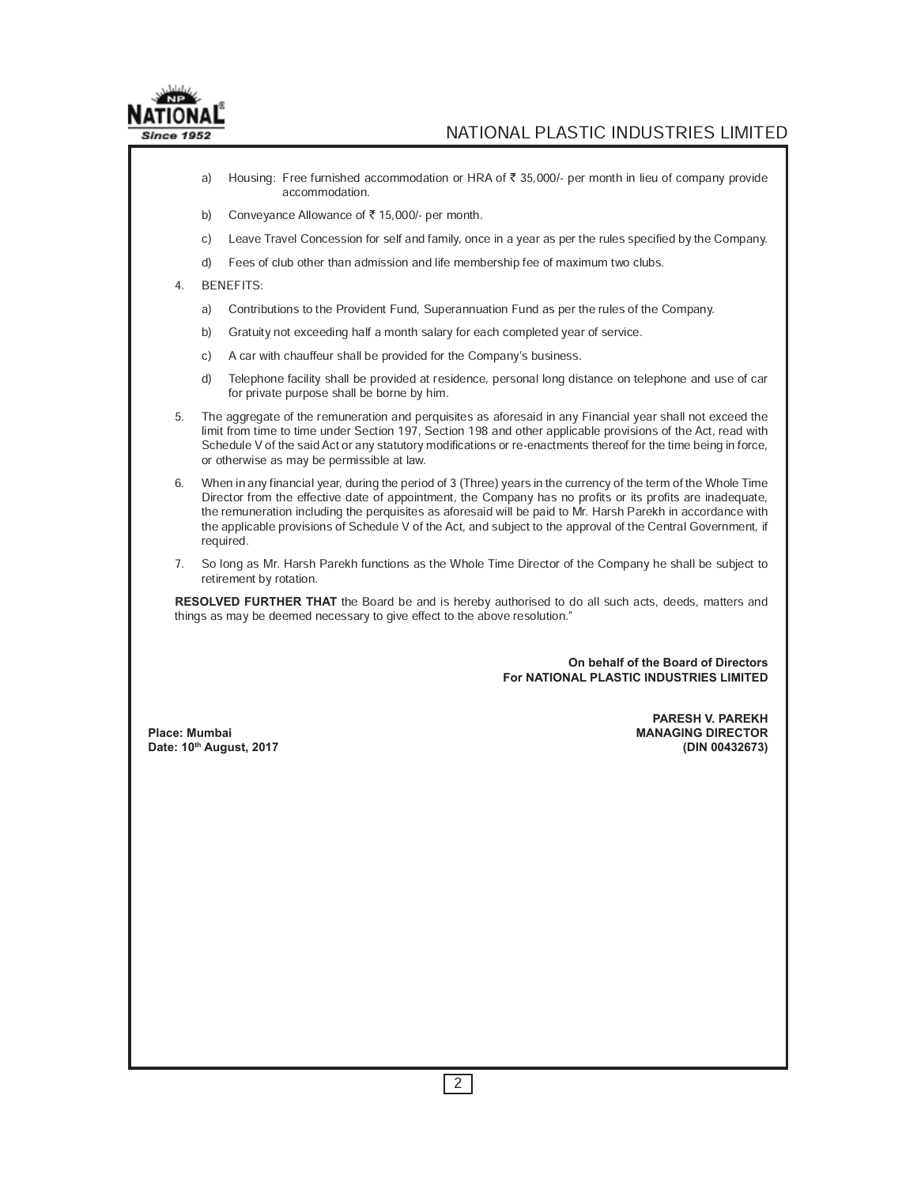

- a) Housing: Free furnished accommodation or HRA of ₹ 35,000/- per month in lieu of company provide accommodation.
- b) Conveyance Allowance of  $\bar{z}$  15,000/- per month.
- c) Leave Travel Concession for self and family, once in a year as per the rules specified by the Company.
- d) Fees of club other than admission and life membership fee of maximum two clubs.
- 4. BENEFITS:
	- a) Contributions to the Provident Fund, Superannuation Fund as per the rules of the Company.
	- b) Gratuity not exceeding half a month salary for each completed year of service.
	- c) A car with chauffeur shall be provided for the Company's business.
	- d) Telephone facility shall be provided at residence, personal long distance on telephone and use of car for private purpose shall be borne by him.
- 5. The aggregate of the remuneration and perquisites as aforesaid in any Financial year shall not exceed the limit from time to time under Section 197, Section 198 and other applicable provisions of the Act, read with Schedule V of the said Act or any statutory modifications or re-enactments thereof for the time being in force, or otherwise as may be permissible at law.
- 6. When in any financial year, during the period of 3 (Three) years in the currency of the term of the Whole Time Director from the effective date of appointment, the Company has no profits or its profits are inadequate, the remuneration including the perquisites as aforesaid will be paid to Mr. Harsh Parekh in accordance with the applicable provisions of Schedule V of the Act, and subject to the approval of the Central Government, if required.
- 7. So long as Mr. Harsh Parekh functions as the Whole Time Director of the Company he shall be subject to retirement by rotation.

**RESOLVED FURTHER THAT** the Board be and is hereby authorised to do all such acts, deeds, matters and things as may be deemed necessary to give effect to the above resolution."

> **On behalf of the Board of Directors For NATIONAL PLASTIC INDUSTRIES LIMITED**

 **PARESH V. PAREKH Place: Mumbai MANAGING DIRECTOR Date: 10th August, 2017 (DIN 00432673)**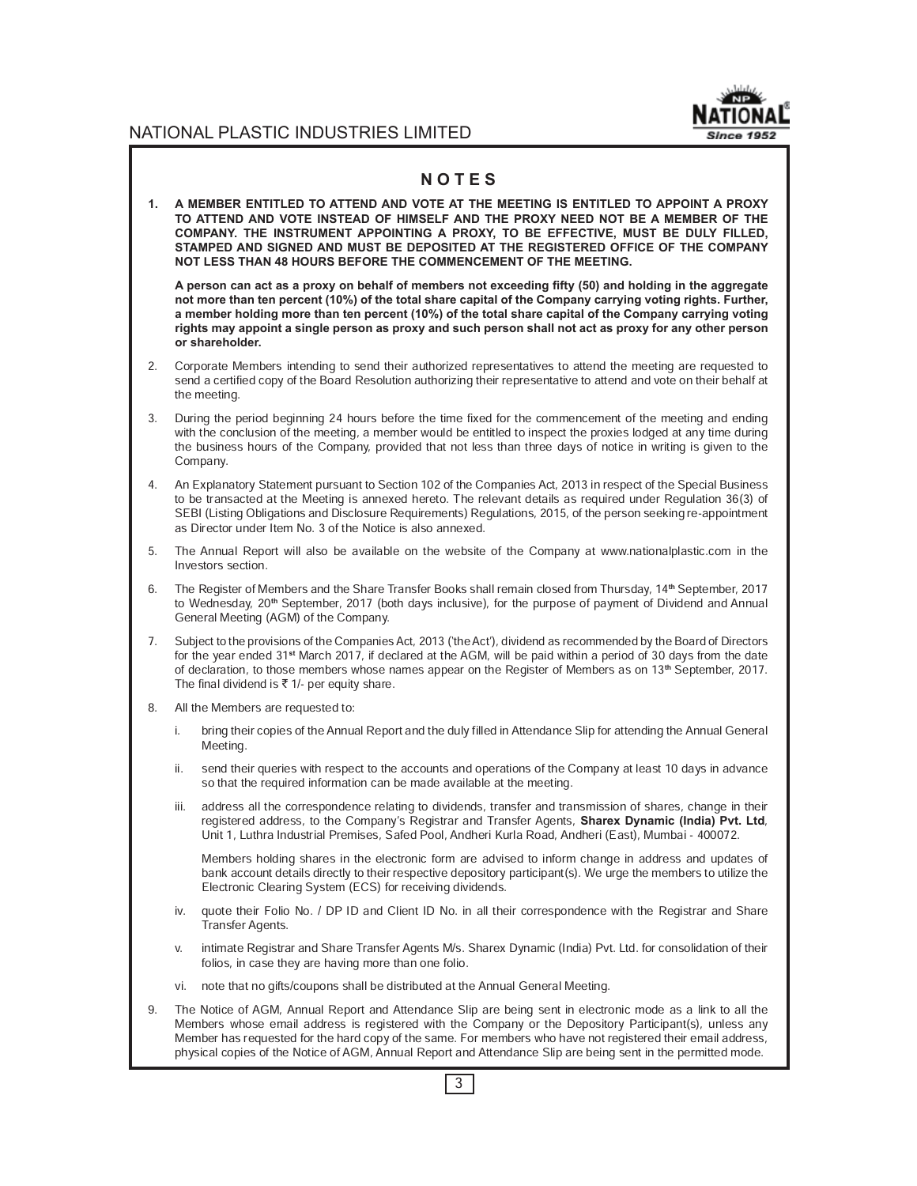

## **N O T E S**

**1. A MEMBER ENTITLED TO ATTEND AND VOTE AT THE MEETING IS ENTITLED TO APPOINT A PROXY TO ATTEND AND VOTE INSTEAD OF HIMSELF AND THE PROXY NEED NOT BE A MEMBER OF THE COMPANY. THE INSTRUMENT APPOINTING A PROXY, TO BE EFFECTIVE, MUST BE DULY FILLED, STAMPED AND SIGNED AND MUST BE DEPOSITED AT THE REGISTERED OFFICE OF THE COMPANY NOT LESS THAN 48 HOURS BEFORE THE COMMENCEMENT OF THE MEETING.**

A person can act as a proxy on behalf of members not exceeding fifty (50) and holding in the aggregate **not more than ten percent (10%) of the total share capital of the Company carrying voting rights. Further, a member holding more than ten percent (10%) of the total share capital of the Company carrying voting rights may appoint a single person as proxy and such person shall not act as proxy for any other person or shareholder.**

- 2. Corporate Members intending to send their authorized representatives to attend the meeting are requested to send a certified copy of the Board Resolution authorizing their representative to attend and vote on their behalf at the meeting.
- 3. During the period beginning 24 hours before the time fixed for the commencement of the meeting and ending with the conclusion of the meeting, a member would be entitled to inspect the proxies lodged at any time during the business hours of the Company, provided that not less than three days of notice in writing is given to the Company.
- 4. An Explanatory Statement pursuant to Section 102 of the Companies Act, 2013 in respect of the Special Business to be transacted at the Meeting is annexed hereto. The relevant details as required under Regulation 36(3) of SEBI (Listing Obligations and Disclosure Requirements) Regulations, 2015, of the person seeking re-appointment as Director under Item No. 3 of the Notice is also annexed.
- 5. The Annual Report will also be available on the website of the Company at www.nationalplastic.com in the Investors section.
- 6. The Register of Members and the Share Transfer Books shall remain closed from Thursday, 14**th** September, 2017 to Wednesday, 20**th** September, 2017 (both days inclusive), for the purpose of payment of Dividend and Annual General Meeting (AGM) of the Company.
- 7. Subject to the provisions of the Companies Act, 2013 (`the Act'), dividend as recommended by the Board of Directors for the year ended 31**st** March 2017, if declared at the AGM, will be paid within a period of 30 days from the date of declaration, to those members whose names appear on the Register of Members as on 13**th** September, 2017. The final dividend is  $\bar{\tau}$  1/- per equity share.
- 8. All the Members are requested to:
	- i. bring their copies of the Annual Report and the duly filled in Attendance Slip for attending the Annual General Meeting.
	- ii. send their queries with respect to the accounts and operations of the Company at least 10 days in advance so that the required information can be made available at the meeting.
	- iii. address all the correspondence relating to dividends, transfer and transmission of shares, change in their registered address, to the Company's Registrar and Transfer Agents, **Sharex Dynamic (India) Pvt. Ltd**, Unit 1, Luthra Industrial Premises, Safed Pool, Andheri Kurla Road, Andheri (East), Mumbai - 400072.

 Members holding shares in the electronic form are advised to inform change in address and updates of bank account details directly to their respective depository participant(s). We urge the members to utilize the Electronic Clearing System (ECS) for receiving dividends.

- iv. quote their Folio No. / DP ID and Client ID No. in all their correspondence with the Registrar and Share Transfer Agents.
- v. intimate Registrar and Share Transfer Agents M/s. Sharex Dynamic (India) Pvt. Ltd. for consolidation of their folios, in case they are having more than one folio.
- vi. note that no gifts/coupons shall be distributed at the Annual General Meeting.
- 9. The Notice of AGM, Annual Report and Attendance Slip are being sent in electronic mode as a link to all the Members whose email address is registered with the Company or the Depository Participant(s), unless any Member has requested for the hard copy of the same. For members who have not registered their email address, physical copies of the Notice of AGM, Annual Report and Attendance Slip are being sent in the permitted mode.

3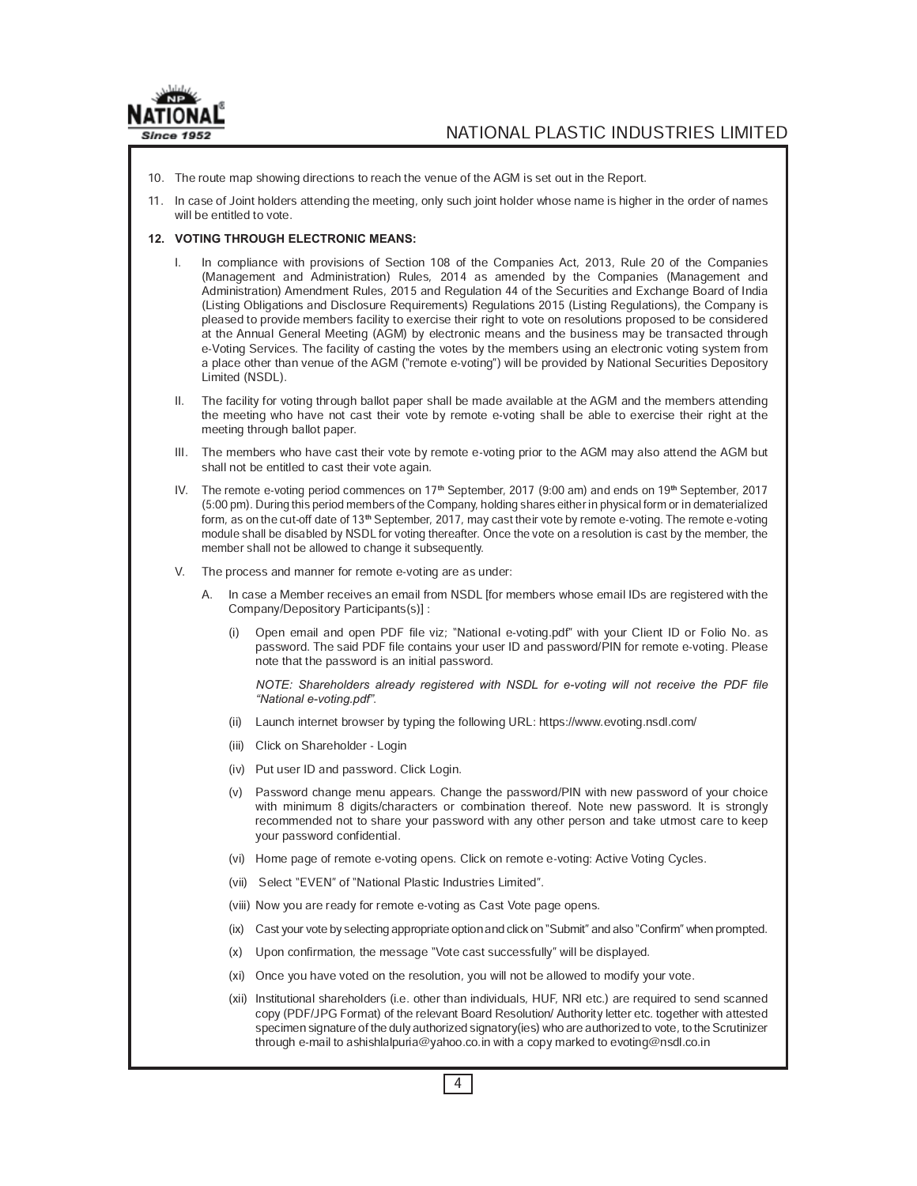

- 10. The route map showing directions to reach the venue of the AGM is set out in the Report.
- 11. In case of Joint holders attending the meeting, only such joint holder whose name is higher in the order of names will be entitled to vote.

#### **12. VOTING THROUGH ELECTRONIC MEANS:**

- I. In compliance with provisions of Section 108 of the Companies Act, 2013, Rule 20 of the Companies (Management and Administration) Rules, 2014 as amended by the Companies (Management and Administration) Amendment Rules, 2015 and Regulation 44 of the Securities and Exchange Board of India (Listing Obligations and Disclosure Requirements) Regulations 2015 (Listing Regulations), the Company is pleased to provide members facility to exercise their right to vote on resolutions proposed to be considered at the Annual General Meeting (AGM) by electronic means and the business may be transacted through e-Voting Services. The facility of casting the votes by the members using an electronic voting system from a place other than venue of the AGM ("remote e-voting") will be provided by National Securities Depository Limited (NSDL).
- II. The facility for voting through ballot paper shall be made available at the AGM and the members attending the meeting who have not cast their vote by remote e-voting shall be able to exercise their right at the meeting through ballot paper.
- III. The members who have cast their vote by remote e-voting prior to the AGM may also attend the AGM but shall not be entitled to cast their vote again.
- IV. The remote e-voting period commences on 17**th** September, 2017 (9:00 am) and ends on 19**th** September, 2017 (5:00 pm). During this period members of the Company, holding shares either in physical form or in dematerialized form, as on the cut-off date of 13**th** September, 2017, may cast their vote by remote e-voting. The remote e-voting module shall be disabled by NSDL for voting thereafter. Once the vote on a resolution is cast by the member, the member shall not be allowed to change it subsequently.
- V. The process and manner for remote e-voting are as under:
	- A. In case a Member receives an email from NSDL [for members whose email IDs are registered with the Company/Depository Participants(s)] :
		- (i) Open email and open PDF file viz; ªNational e-voting.pdfº with your Client ID or Folio No. as password. The said PDF file contains your user ID and password/PIN for remote e-voting. Please note that the password is an initial password.

*NOTE: Shareholders already registered with NSDL for e-voting will not receive the PDF file "National e-voting.pdf"*.

- (ii) Launch internet browser by typing the following URL: https://www.evoting.nsdl.com/
- (iii) Click on Shareholder Login
- (iv) Put user ID and password. Click Login.
- (v) Password change menu appears. Change the password/PIN with new password of your choice with minimum 8 digits/characters or combination thereof. Note new password. It is strongly recommended not to share your password with any other person and take utmost care to keep your password confidential.
- (vi) Home page of remote e-voting opens. Click on remote e-voting: Active Voting Cycles.
- (vii) Select "EVEN" of "National Plastic Industries Limited".
- (viii) Now you are ready for remote e-voting as Cast Vote page opens.
- (ix) Cast your vote by selecting appropriate option and click on "Submit" and also "Confirm" when prompted.
- (x) Upon confirmation, the message "Vote cast successfully" will be displayed.
- (xi) Once you have voted on the resolution, you will not be allowed to modify your vote.
- (xii) Institutional shareholders (i.e. other than individuals, HUF, NRI etc.) are required to send scanned copy (PDF/JPG Format) of the relevant Board Resolution/ Authority letter etc. together with attested specimen signature of the duly authorized signatory(ies) who are authorized to vote, to the Scrutinizer through e-mail to ashishlalpuria@yahoo.co.in with a copy marked to evoting@nsdl.co.in

4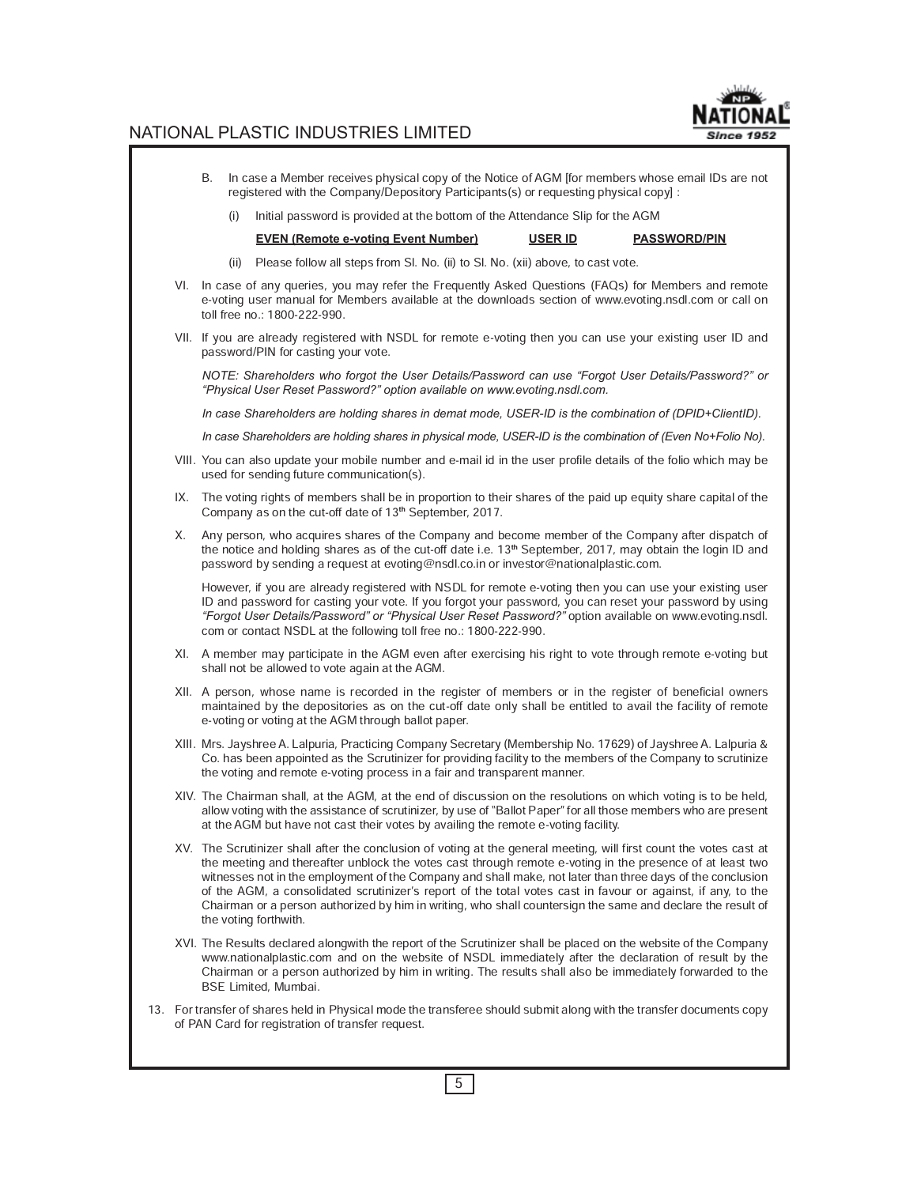# Since 1952

## NATIONAL PLASTIC INDUSTRIES LIMITED

- B. In case a Member receives physical copy of the Notice of AGM [for members whose email IDs are not registered with the Company/Depository Participants(s) or requesting physical copy] : (i) Initial password is provided at the bottom of the Attendance Slip for the AGM **EVEN (Remote e-voting Event Number) USER ID PASSWORD/PIN** (ii) Please follow all steps from Sl. No. (ii) to Sl. No. (xii) above, to cast vote. VI. In case of any queries, you may refer the Frequently Asked Questions (FAQs) for Members and remote e-voting user manual for Members available at the downloads section of www.evoting.nsdl.com or call on toll free no.: 1800-222-990. VII. If you are already registered with NSDL for remote e-voting then you can use your existing user ID and password/PIN for casting your vote. *NOTE: Shareholders who forgot the User Details/Password can use "Forgot User Details/Password?" or "Physical User Reset Password?" option available on www.evoting.nsdl.com. In case Shareholders are holding shares in demat mode, USER-ID is the combination of (DPID+ClientID). In case Shareholders are holding shares in physical mode, USER-ID is the combination of (Even No+Folio No).* VIII. You can also update your mobile number and e-mail id in the user profile details of the folio which may be used for sending future communication(s). IX. The voting rights of members shall be in proportion to their shares of the paid up equity share capital of the Company as on the cut-off date of 13**th** September, 2017. X. Any person, who acquires shares of the Company and become member of the Company after dispatch of the notice and holding shares as of the cut-off date i.e. 13**th** September, 2017, may obtain the login ID and password by sending a request at evoting@nsdl.co.in or investor@nationalplastic.com. However, if you are already registered with NSDL for remote e-voting then you can use your existing user ID and password for casting your vote. If you forgot your password, you can reset your password by using *"Forgot User Details/Password" or "Physical User Reset Password?"* option available on www.evoting.nsdl. com or contact NSDL at the following toll free no.: 1800-222-990. XI. A member may participate in the AGM even after exercising his right to vote through remote e-voting but shall not be allowed to vote again at the AGM. XII. A person, whose name is recorded in the register of members or in the register of beneficial owners maintained by the depositories as on the cut-off date only shall be entitled to avail the facility of remote e-voting or voting at the AGM through ballot paper. XIII. Mrs. Jayshree A. Lalpuria, Practicing Company Secretary (Membership No. 17629) of Jayshree A. Lalpuria & Co. has been appointed as the Scrutinizer for providing facility to the members of the Company to scrutinize the voting and remote e-voting process in a fair and transparent manner. XIV. The Chairman shall, at the AGM, at the end of discussion on the resolutions on which voting is to be held, allow voting with the assistance of scrutinizer, by use of "Ballot Paper" for all those members who are present at the AGM but have not cast their votes by availing the remote e-voting facility. XV. The Scrutinizer shall after the conclusion of voting at the general meeting, will first count the votes cast at the meeting and thereafter unblock the votes cast through remote e-voting in the presence of at least two witnesses not in the employment of the Company and shall make, not later than three days of the conclusion of the AGM, a consolidated scrutinizer's report of the total votes cast in favour or against, if any, to the Chairman or a person authorized by him in writing, who shall countersign the same and declare the result of the voting forthwith. XVI. The Results declared alongwith the report of the Scrutinizer shall be placed on the website of the Company www.nationalplastic.com and on the website of NSDL immediately after the declaration of result by the Chairman or a person authorized by him in writing. The results shall also be immediately forwarded to the BSE Limited, Mumbai. 13. For transfer of shares held in Physical mode the transferee should submit along with the transfer documents copy of PAN Card for registration of transfer request.
	- 5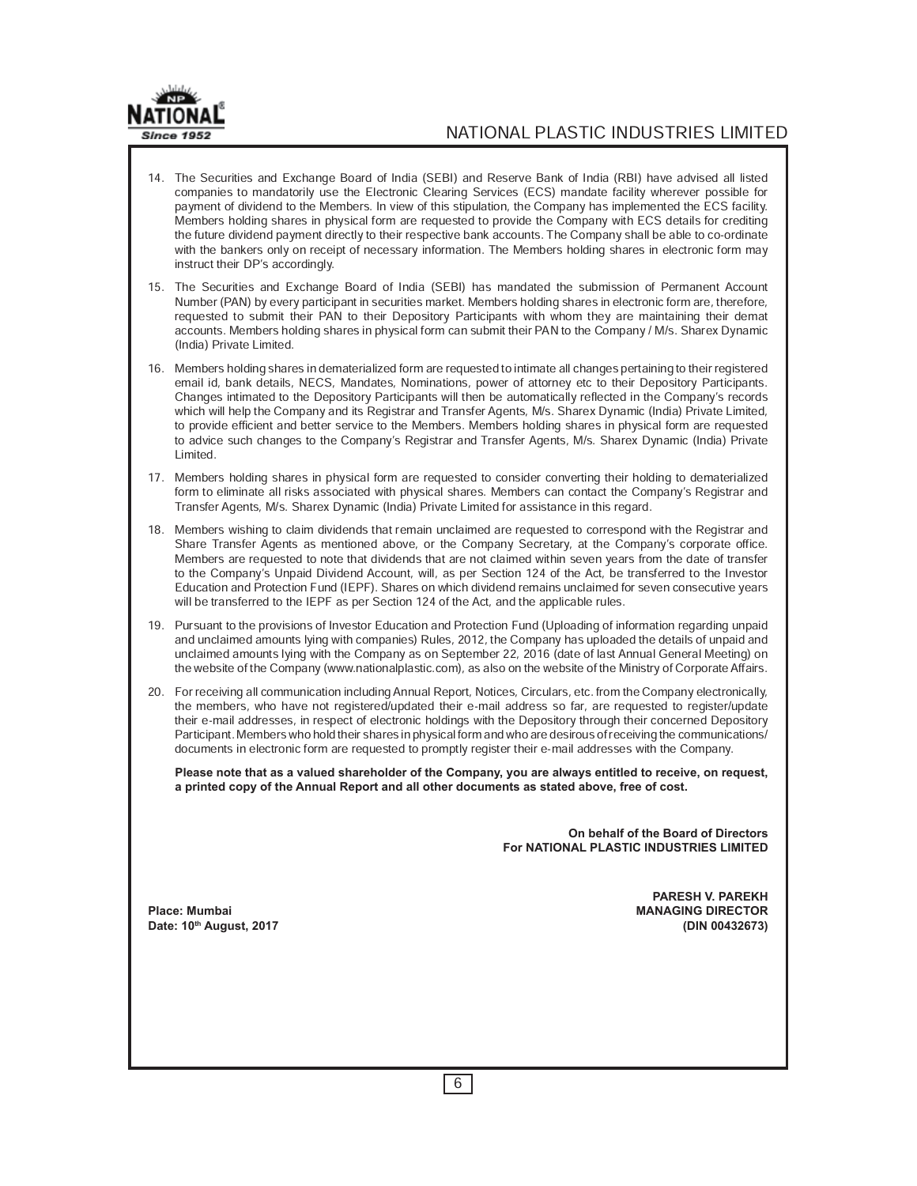

- 14. The Securities and Exchange Board of India (SEBI) and Reserve Bank of India (RBI) have advised all listed companies to mandatorily use the Electronic Clearing Services (ECS) mandate facility wherever possible for payment of dividend to the Members. In view of this stipulation, the Company has implemented the ECS facility. Members holding shares in physical form are requested to provide the Company with ECS details for crediting the future dividend payment directly to their respective bank accounts. The Company shall be able to co-ordinate with the bankers only on receipt of necessary information. The Members holding shares in electronic form may instruct their DP's accordingly.
- 15. The Securities and Exchange Board of India (SEBI) has mandated the submission of Permanent Account Number (PAN) by every participant in securities market. Members holding shares in electronic form are, therefore, requested to submit their PAN to their Depository Participants with whom they are maintaining their demat accounts. Members holding shares in physical form can submit their PAN to the Company / M/s. Sharex Dynamic (India) Private Limited.
- 16. Members holding shares in dematerialized form are requested to intimate all changes pertaining to their registered email id, bank details, NECS, Mandates, Nominations, power of attorney etc to their Depository Participants. Changes intimated to the Depository Participants will then be automatically reflected in the Company's records which will help the Company and its Registrar and Transfer Agents, M/s. Sharex Dynamic (India) Private Limited, to provide efficient and better service to the Members. Members holding shares in physical form are requested to advice such changes to the Company's Registrar and Transfer Agents, M/s. Sharex Dynamic (India) Private Limited.
- 17. Members holding shares in physical form are requested to consider converting their holding to dematerialized form to eliminate all risks associated with physical shares. Members can contact the Company's Registrar and Transfer Agents, M/s. Sharex Dynamic (India) Private Limited for assistance in this regard.
- 18. Members wishing to claim dividends that remain unclaimed are requested to correspond with the Registrar and Share Transfer Agents as mentioned above, or the Company Secretary, at the Company's corporate office. Members are requested to note that dividends that are not claimed within seven years from the date of transfer to the Company's Unpaid Dividend Account, will, as per Section 124 of the Act, be transferred to the Investor Education and Protection Fund (IEPF). Shares on which dividend remains unclaimed for seven consecutive years will be transferred to the IEPF as per Section 124 of the Act, and the applicable rules.
- 19. Pursuant to the provisions of Investor Education and Protection Fund (Uploading of information regarding unpaid and unclaimed amounts lying with companies) Rules, 2012, the Company has uploaded the details of unpaid and unclaimed amounts lying with the Company as on September 22, 2016 (date of last Annual General Meeting) on the website of the Company (www.nationalplastic.com), as also on the website of the Ministry of Corporate Affairs.
- 20. For receiving all communication including Annual Report, Notices, Circulars, etc. from the Company electronically, the members, who have not registered/updated their e-mail address so far, are requested to register/update their e-mail addresses, in respect of electronic holdings with the Depository through their concerned Depository Participant. Members who hold their shares in physical form and who are desirous of receiving the communications/ documents in electronic form are requested to promptly register their e-mail addresses with the Company.

**Please note that as a valued shareholder of the Company, you are always entitled to receive, on request, a printed copy of the Annual Report and all other documents as stated above, free of cost.**

> **On behalf of the Board of Directors For NATIONAL PLASTIC INDUSTRIES LIMITED**

**PARESH V. PAREKH** Place: Mumbai **MANAGING DIRECTOR Date: 10th August, 2017 (DIN 00432673)**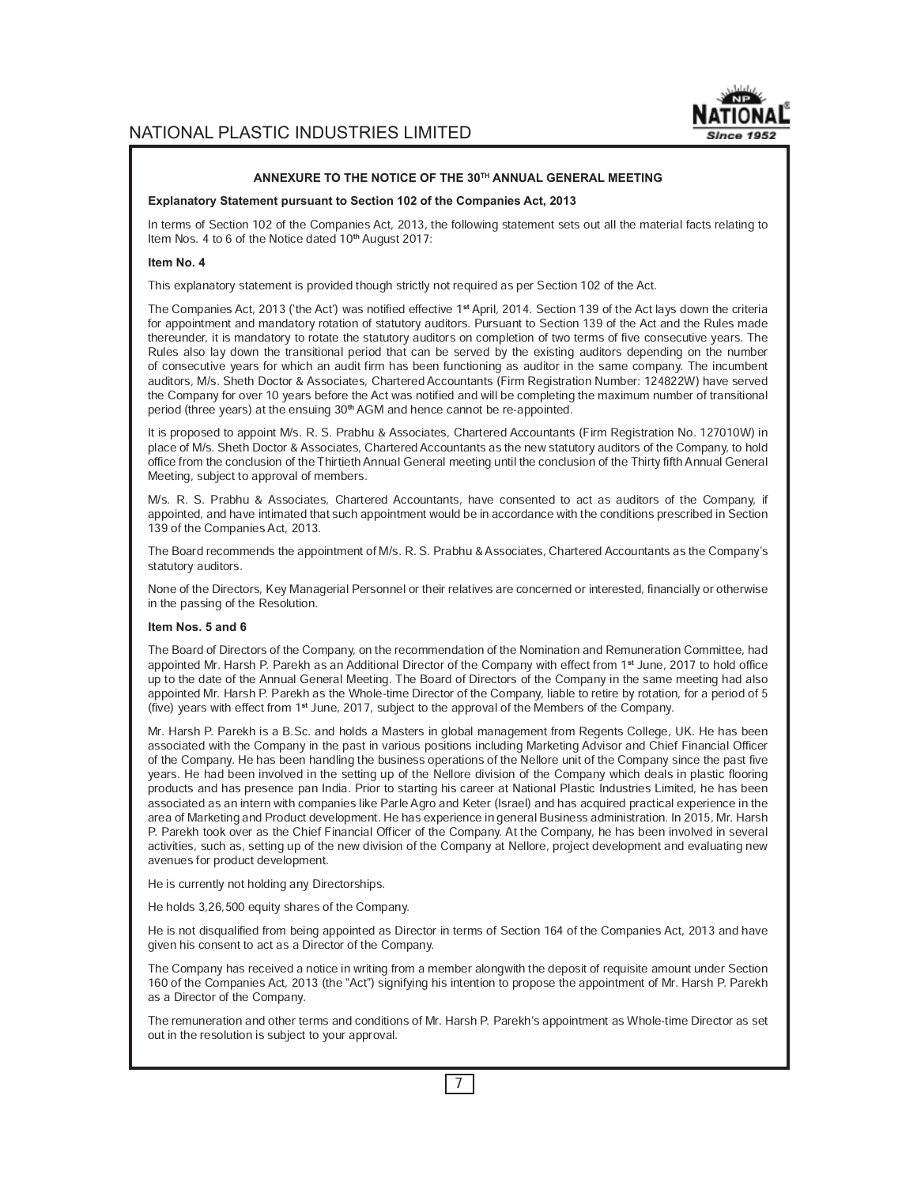

#### **ANNEXURE TO THE NOTICE OF THE 30TH ANNUAL GENERAL MEETING**

#### **Explanatory Statement pursuant to Section 102 of the Companies Act, 2013**

In terms of Section 102 of the Companies Act, 2013, the following statement sets out all the material facts relating to Item Nos. 4 to 6 of the Notice dated 10**th** August 2017:

#### **Item No. 4**

This explanatory statement is provided though strictly not required as per Section 102 of the Act.

The Companies Act, 2013 (`the Act') was notified effective 1**st** April, 2014. Section 139 of the Act lays down the criteria for appointment and mandatory rotation of statutory auditors. Pursuant to Section 139 of the Act and the Rules made thereunder, it is mandatory to rotate the statutory auditors on completion of two terms of five consecutive years. The Rules also lay down the transitional period that can be served by the existing auditors depending on the number of consecutive years for which an audit firm has been functioning as auditor in the same company. The incumbent auditors, M/s. Sheth Doctor & Associates, Chartered Accountants (Firm Registration Number: 124822W) have served the Company for over 10 years before the Act was notified and will be completing the maximum number of transitional period (three years) at the ensuing 30**th** AGM and hence cannot be re-appointed.

It is proposed to appoint M/s. R. S. Prabhu & Associates, Chartered Accountants (Firm Registration No. 127010W) in place of M/s. Sheth Doctor & Associates, Chartered Accountants as the new statutory auditors of the Company, to hold office from the conclusion of the Thirtieth Annual General meeting until the conclusion of the Thirty fifth Annual General Meeting, subject to approval of members.

M/s. R. S. Prabhu & Associates, Chartered Accountants, have consented to act as auditors of the Company, if appointed, and have intimated that such appointment would be in accordance with the conditions prescribed in Section 139 of the Companies Act, 2013.

The Board recommends the appointment of M/s. R. S. Prabhu & Associates, Chartered Accountants as the Company's statutory auditors.

None of the Directors, Key Managerial Personnel or their relatives are concerned or interested, financially or otherwise in the passing of the Resolution.

#### **Item Nos. 5 and 6**

The Board of Directors of the Company, on the recommendation of the Nomination and Remuneration Committee, had appointed Mr. Harsh P. Parekh as an Additional Director of the Company with effect from 1**st** June, 2017 to hold office up to the date of the Annual General Meeting. The Board of Directors of the Company in the same meeting had also appointed Mr. Harsh P. Parekh as the Whole-time Director of the Company, liable to retire by rotation, for a period of 5 (five) years with effect from 1**st** June, 2017, subject to the approval of the Members of the Company.

Mr. Harsh P. Parekh is a B.Sc. and holds a Masters in global management from Regents College, UK. He has been associated with the Company in the past in various positions including Marketing Advisor and Chief Financial Officer of the Company. He has been handling the business operations of the Nellore unit of the Company since the past five years. He had been involved in the setting up of the Nellore division of the Company which deals in plastic flooring products and has presence pan India. Prior to starting his career at National Plastic Industries Limited, he has been associated as an intern with companies like Parle Agro and Keter (Israel) and has acquired practical experience in the area of Marketing and Product development. He has experience in general Business administration. In 2015, Mr. Harsh P. Parekh took over as the Chief Financial Officer of the Company. At the Company, he has been involved in several activities, such as, setting up of the new division of the Company at Nellore, project development and evaluating new avenues for product development.

He is currently not holding any Directorships.

He holds 3,26,500 equity shares of the Company.

He is not disqualified from being appointed as Director in terms of Section 164 of the Companies Act, 2013 and have given his consent to act as a Director of the Company.

The Company has received a notice in writing from a member alongwith the deposit of requisite amount under Section 160 of the Companies Act, 2013 (the "Act") signifying his intention to propose the appointment of Mr. Harsh P. Parekh as a Director of the Company.

The remuneration and other terms and conditions of Mr. Harsh P. Parekh's appointment as Whole-time Director as set out in the resolution is subject to your approval.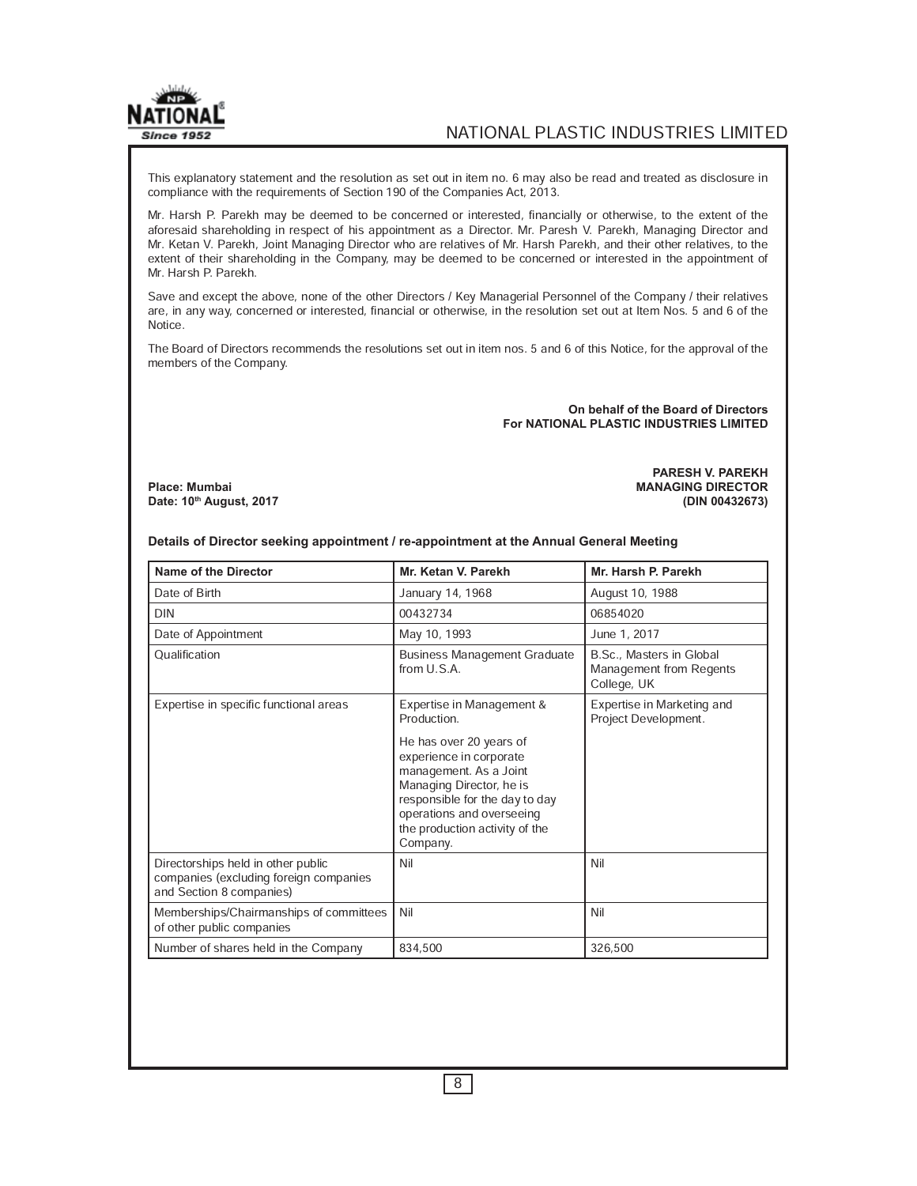

This explanatory statement and the resolution as set out in item no. 6 may also be read and treated as disclosure in compliance with the requirements of Section 190 of the Companies Act, 2013.

Mr. Harsh P. Parekh may be deemed to be concerned or interested, financially or otherwise, to the extent of the aforesaid shareholding in respect of his appointment as a Director. Mr. Paresh V. Parekh, Managing Director and Mr. Ketan V. Parekh, Joint Managing Director who are relatives of Mr. Harsh Parekh, and their other relatives, to the extent of their shareholding in the Company, may be deemed to be concerned or interested in the appointment of Mr. Harsh P. Parekh.

Save and except the above, none of the other Directors / Key Managerial Personnel of the Company / their relatives are, in any way, concerned or interested, financial or otherwise, in the resolution set out at Item Nos. 5 and 6 of the Notice.

The Board of Directors recommends the resolutions set out in item nos. 5 and 6 of this Notice, for the approval of the members of the Company.

> **On behalf of the Board of Directors For NATIONAL PLASTIC INDUSTRIES LIMITED**

**PARESH V. PAREKH Place: Mumbai MANAGING DIRECTOR Date: 10th August, 2017 (DIN 00432673)**

| <b>Name of the Director</b>                                                                              | Mr. Ketan V. Parekh                                                                                                                                                                                                                                               | Mr. Harsh P. Parekh                                                |
|----------------------------------------------------------------------------------------------------------|-------------------------------------------------------------------------------------------------------------------------------------------------------------------------------------------------------------------------------------------------------------------|--------------------------------------------------------------------|
| Date of Birth                                                                                            | January 14, 1968                                                                                                                                                                                                                                                  | August 10, 1988                                                    |
| <b>DIN</b>                                                                                               | 00432734                                                                                                                                                                                                                                                          | 06854020                                                           |
| Date of Appointment                                                                                      | May 10, 1993                                                                                                                                                                                                                                                      | June 1, 2017                                                       |
| Qualification                                                                                            | <b>Business Management Graduate</b><br>from U.S.A.                                                                                                                                                                                                                | B.Sc., Masters in Global<br>Management from Regents<br>College, UK |
| Expertise in specific functional areas                                                                   | Expertise in Management &<br>Production.<br>He has over 20 years of<br>experience in corporate<br>management. As a Joint<br>Managing Director, he is<br>responsible for the day to day<br>operations and overseeing<br>the production activity of the<br>Company. | Expertise in Marketing and<br>Project Development.                 |
| Directorships held in other public<br>companies (excluding foreign companies<br>and Section 8 companies) | Nil                                                                                                                                                                                                                                                               | Nil                                                                |
| Memberships/Chairmanships of committees<br>of other public companies                                     | Nil                                                                                                                                                                                                                                                               | Nil                                                                |
| Number of shares held in the Company                                                                     | 834,500                                                                                                                                                                                                                                                           | 326,500                                                            |

**Details of Director seeking appointment / re-appointment at the Annual General Meeting**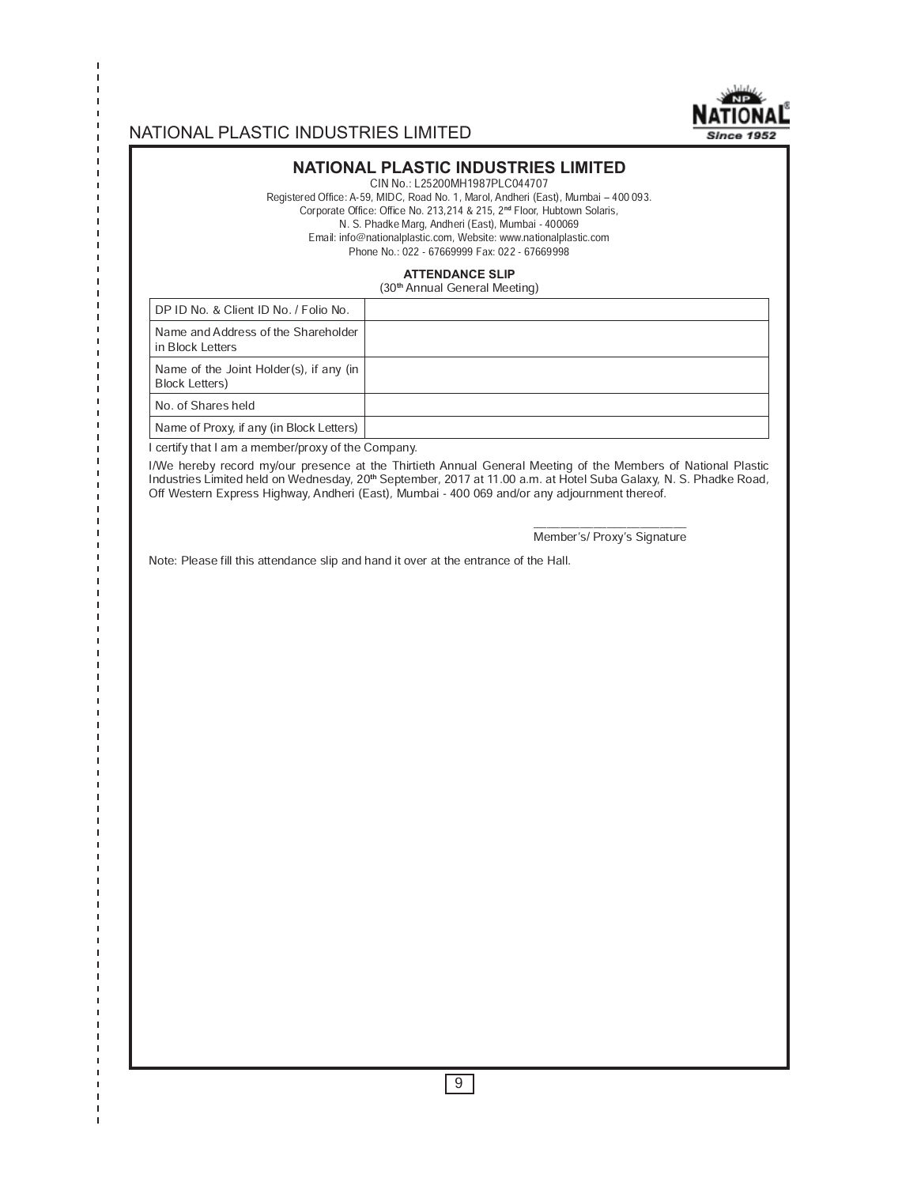

#### **NATIONAL PLASTIC INDUSTRIES LIMITED**

CIN No.: L25200MH1987PLC044707

Registered Office: A-59, MIDC, Road No. 1, Marol, Andheri (East), Mumbai - 400 093. Corporate Office: Office No. 213,214 & 215, 2**nd** Floor, Hubtown Solaris, N. S. Phadke Marg, Andheri (East), Mumbai - 400069 Email: info@nationalplastic.com, Website: www.nationalplastic.com Phone No.: 022 - 67669999 Fax: 022 - 67669998

#### **ATTENDANCE SLIP**

(30**th** Annual General Meeting)

| DP ID No. & Client ID No. / Folio No.                             |  |
|-------------------------------------------------------------------|--|
| Name and Address of the Shareholder<br>in Block Letters           |  |
| Name of the Joint Holder(s), if any (in<br><b>Block Letters</b> ) |  |
| No. of Shares held                                                |  |
| Name of Proxy, if any (in Block Letters)                          |  |

I certify that I am a member/proxy of the Company.

п

I/We hereby record my/our presence at the Thirtieth Annual General Meeting of the Members of National Plastic Industries Limited held on Wednesday, 20**th** September, 2017 at 11.00 a.m. at Hotel Suba Galaxy, N. S. Phadke Road, Off Western Express Highway, Andheri (East), Mumbai - 400 069 and/or any adjournment thereof.

\_\_\_\_\_\_\_\_\_\_\_\_\_\_\_\_\_\_\_\_\_\_\_ Member's/ Proxy's Signature

Note: Please fill this attendance slip and hand it over at the entrance of the Hall.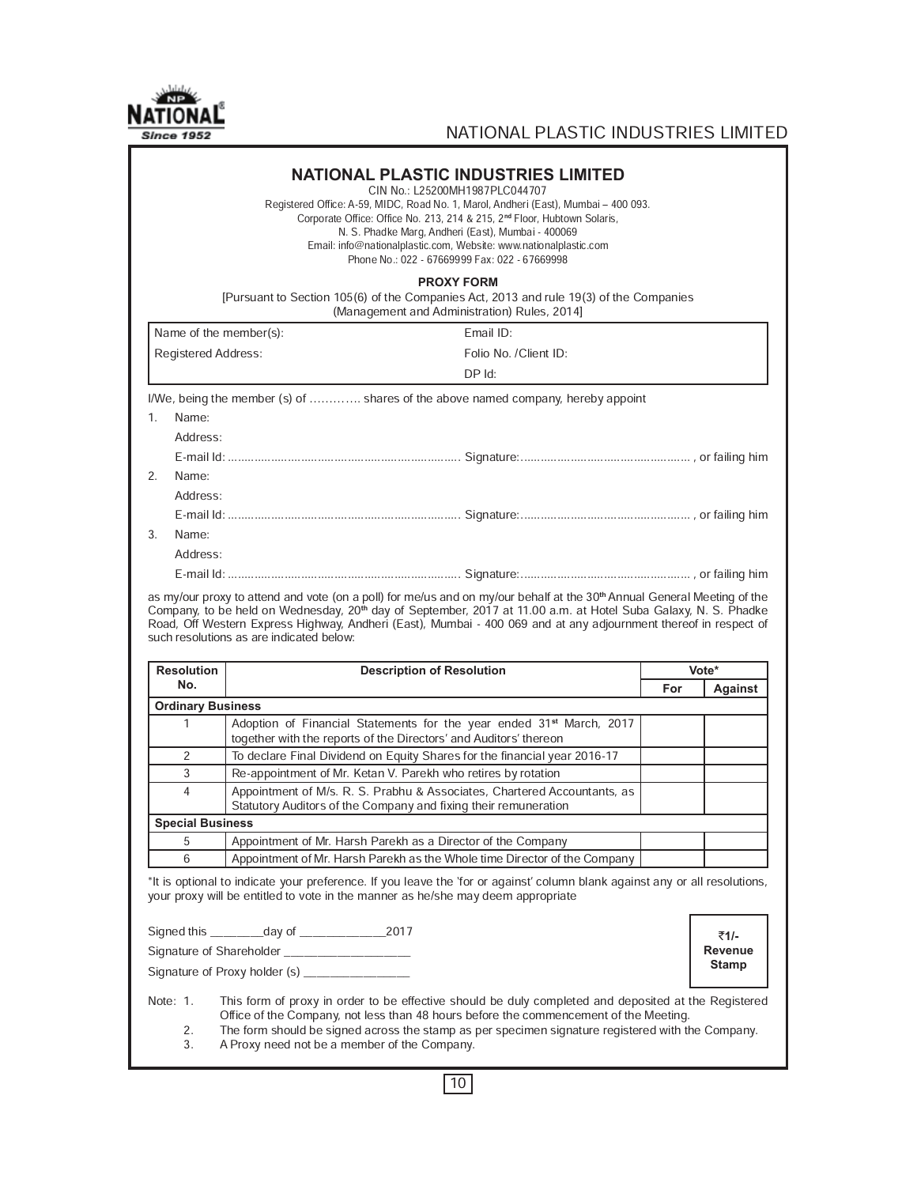

|                          | Registered Office: A-59, MIDC, Road No. 1, Marol, Andheri (East), Mumbai - 400 093.<br>Corporate Office: Office No. 213, 214 & 215, 2 <sup>nd</sup> Floor, Hubtown Solaris,<br>N. S. Phadke Marg, Andheri (East), Mumbai - 400069<br>Email: info@nationalplastic.com, Website: www.nationalplastic.com<br>Phone No.: 022 - 67669999 Fax: 022 - 67669998                                                                           |     |                 |
|--------------------------|-----------------------------------------------------------------------------------------------------------------------------------------------------------------------------------------------------------------------------------------------------------------------------------------------------------------------------------------------------------------------------------------------------------------------------------|-----|-----------------|
|                          | <b>PROXY FORM</b><br>[Pursuant to Section 105(6) of the Companies Act, 2013 and rule 19(3) of the Companies<br>(Management and Administration) Rules, 2014]                                                                                                                                                                                                                                                                       |     |                 |
| Name of the member(s):   | Email ID:                                                                                                                                                                                                                                                                                                                                                                                                                         |     |                 |
| Registered Address:      | Folio No. /Client ID:                                                                                                                                                                                                                                                                                                                                                                                                             |     |                 |
|                          | $DP$ Id:                                                                                                                                                                                                                                                                                                                                                                                                                          |     |                 |
|                          | I/We, being the member (s) of  shares of the above named company, hereby appoint                                                                                                                                                                                                                                                                                                                                                  |     |                 |
| 1.<br>Name:              |                                                                                                                                                                                                                                                                                                                                                                                                                                   |     |                 |
| Address:                 |                                                                                                                                                                                                                                                                                                                                                                                                                                   |     |                 |
|                          |                                                                                                                                                                                                                                                                                                                                                                                                                                   |     |                 |
| 2.<br>Name:              |                                                                                                                                                                                                                                                                                                                                                                                                                                   |     |                 |
| Address:                 |                                                                                                                                                                                                                                                                                                                                                                                                                                   |     |                 |
|                          |                                                                                                                                                                                                                                                                                                                                                                                                                                   |     |                 |
| 3.<br>Name:              |                                                                                                                                                                                                                                                                                                                                                                                                                                   |     |                 |
| Address:                 |                                                                                                                                                                                                                                                                                                                                                                                                                                   |     |                 |
|                          |                                                                                                                                                                                                                                                                                                                                                                                                                                   |     |                 |
|                          | as my/our proxy to attend and vote (on a poll) for me/us and on my/our behalf at the 30 <sup>th</sup> Annual General Meeting of the<br>Company, to be held on Wednesday, 20 <sup>th</sup> day of September, 2017 at 11.00 a.m. at Hotel Suba Galaxy, N. S. Phadke<br>Road, Off Western Express Highway, Andheri (East), Mumbai - 400 069 and at any adjournment thereof in respect of<br>such resolutions as are indicated below: |     |                 |
| <b>Resolution</b>        |                                                                                                                                                                                                                                                                                                                                                                                                                                   |     | Vote*           |
| No.                      | <b>Description of Resolution</b>                                                                                                                                                                                                                                                                                                                                                                                                  | For | Against         |
| <b>Ordinary Business</b> |                                                                                                                                                                                                                                                                                                                                                                                                                                   |     |                 |
| $\mathbf{1}$             | Adoption of Financial Statements for the year ended 31 <sup>st</sup> March, 2017<br>together with the reports of the Directors' and Auditors' thereon                                                                                                                                                                                                                                                                             |     |                 |
| 2                        | To declare Final Dividend on Equity Shares for the financial year 2016-17                                                                                                                                                                                                                                                                                                                                                         |     |                 |
| 3                        | Re-appointment of Mr. Ketan V. Parekh who retires by rotation                                                                                                                                                                                                                                                                                                                                                                     |     |                 |
| $\overline{4}$           | Appointment of M/s. R. S. Prabhu & Associates, Chartered Accountants, as<br>Statutory Auditors of the Company and fixing their remuneration                                                                                                                                                                                                                                                                                       |     |                 |
| <b>Special Business</b>  |                                                                                                                                                                                                                                                                                                                                                                                                                                   |     |                 |
| 5                        | Appointment of Mr. Harsh Parekh as a Director of the Company                                                                                                                                                                                                                                                                                                                                                                      |     |                 |
| 6                        | Appointment of Mr. Harsh Parekh as the Whole time Director of the Company                                                                                                                                                                                                                                                                                                                                                         |     |                 |
|                          | *It is optional to indicate your preference. If you leave the 'for or against' column blank against any or all resolutions,<br>your proxy will be entitled to vote in the manner as he/she may deem appropriate                                                                                                                                                                                                                   |     |                 |
|                          |                                                                                                                                                                                                                                                                                                                                                                                                                                   |     |                 |
|                          |                                                                                                                                                                                                                                                                                                                                                                                                                                   |     | ₹1/-<br>Revenue |
|                          |                                                                                                                                                                                                                                                                                                                                                                                                                                   |     | <b>Stamp</b>    |

10